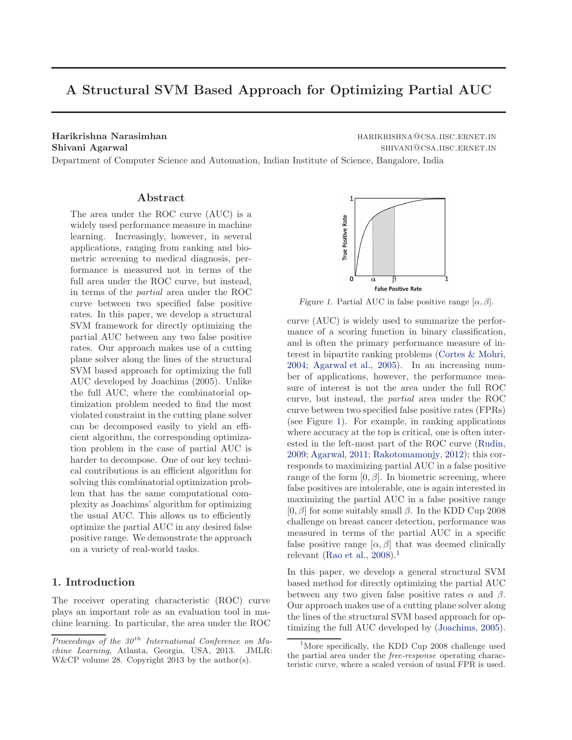# A Structural SVM Based Approach for Optimizing Partial AUC

Harikrishna Narasimhan harikari harikrishna Narasimhan harikrishna harikrishna harikrishna harikrishna harikri Shivani Agarwal shivani agarwal shivani Agarwal shivani agarwal shivani agarwal shivani agarwal shivani agarwa

Department of Computer Science and Automation, Indian Institute of Science, Bangalore, India

#### Abstract

The area under the ROC curve (AUC) is a widely used performance measure in machine learning. Increasingly, however, in several applications, ranging from ranking and biometric screening to medical diagnosis, performance is measured not in terms of the full area under the ROC curve, but instead, in terms of the partial area under the ROC curve between two specified false positive rates. In this paper, we develop a structural SVM framework for directly optimizing the partial AUC between any two false positive rates. Our approach makes use of a cutting plane solver along the lines of the structural SVM based approach for optimizing the full AUC developed by Joachims (2005). Unlike the full AUC, where the combinatorial optimization problem needed to find the most violated constraint in the cutting plane solver can be decomposed easily to yield an efficient algorithm, the corresponding optimization problem in the case of partial AUC is harder to decompose. One of our key technical contributions is an efficient algorithm for solving this combinatorial optimization problem that has the same computational complexity as Joachims' algorithm for optimizing the usual AUC. This allows us to efficiently optimize the partial AUC in any desired false positive range. We demonstrate the approach on a variety of real-world tasks.

#### 1. Introduction

The receiver operating characteristic (ROC) curve plays an important role as an evaluation tool in machine learning. In particular, the area under the ROC



Figure 1. Partial AUC in false positive range  $[\alpha, \beta]$ .

curve (AUC) is widely used to summarize the performance of a scoring function in binary classification, and is often the primary performance measure of interest in bipartite ranking problems [\(Cortes & Mohri,](#page-8-0) [2004;](#page-8-0) [Agarwal et al.,](#page-8-0) [2005\)](#page-8-0). In an increasing number of applications, however, the performance measure of interest is not the area under the full ROC curve, but instead, the partial area under the ROC curve between two specified false positive rates (FPRs) (see Figure 1). For example, in ranking applications where accuracy at the top is critical, one is often interested in the left-most part of the ROC curve [\(Rudin,](#page-8-0) [2009;](#page-8-0) [Agarwal,](#page-8-0) [2011](#page-8-0); [Rakotomamonjy](#page-8-0), [2012\)](#page-8-0); this corresponds to maximizing partial AUC in a false positive range of the form  $[0, \beta]$ . In biometric screening, where false positives are intolerable, one is again interested in maximizing the partial AUC in a false positive range  $[0, \beta]$  for some suitably small  $\beta$ . In the KDD Cup 2008 challenge on breast cancer detection, performance was measured in terms of the partial AUC in a specific false positive range  $[\alpha, \beta]$  that was deemed clinically relevant [\(Rao et al.,](#page-8-0)  $2008$ ).<sup>1</sup>

In this paper, we develop a general structural SVM based method for directly optimizing the partial AUC between any two given false positive rates  $\alpha$  and  $\beta$ . Our approach makes use of a cutting plane solver along the lines of the structural SVM based approach for optimizing the full AUC developed by [\(Joachims,](#page-8-0) [2005\)](#page-8-0).

Proceedings of the  $30<sup>th</sup>$  International Conference on Machine Learning, Atlanta, Georgia, USA, 2013. JMLR: W&CP volume 28. Copyright 2013 by the author(s).

 $1$ More specifically, the KDD Cup 2008 challenge used the partial area under the free-response operating characteristic curve, where a scaled version of usual FPR is used.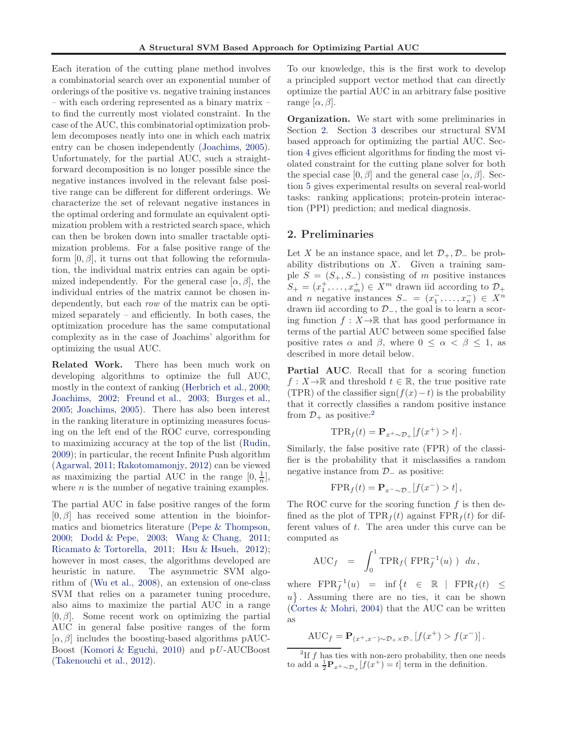Each iteration of the cutting plane method involves a combinatorial search over an exponential number of orderings of the positive vs. negative training instances – with each ordering represented as a binary matrix – to find the currently most violated constraint. In the case of the AUC, this combinatorial optimization problem decomposes neatly into one in which each matrix entry can be chosen independently [\(Joachims](#page-8-0), [2005\)](#page-8-0). Unfortunately, for the partial AUC, such a straightforward decomposition is no longer possible since the negative instances involved in the relevant false positive range can be different for different orderings. We characterize the set of relevant negative instances in the optimal ordering and formulate an equivalent optimization problem with a restricted search space, which can then be broken down into smaller tractable optimization problems. For a false positive range of the form  $[0, \beta]$ , it turns out that following the reformulation, the individual matrix entries can again be optimized independently. For the general case  $[\alpha, \beta]$ , the individual entries of the matrix cannot be chosen independently, but each row of the matrix can be optimized separately – and efficiently. In both cases, the optimization procedure has the same computational complexity as in the case of Joachims' algorithm for optimizing the usual AUC.

Related Work. There has been much work on developing algorithms to optimize the full AUC, mostly in the context of ranking [\(Herbrich et al.,](#page-8-0) [2000;](#page-8-0) [Joachims](#page-8-0), [2002](#page-8-0); [Freund et al.](#page-8-0), [2003;](#page-8-0) [Burges et al.,](#page-8-0) [2005;](#page-8-0) [Joachims](#page-8-0), [2005](#page-8-0)). There has also been interest in the ranking literature in optimizing measures focusing on the left end of the ROC curve, corresponding to maximizing accuracy at the top of the list [\(Rudin,](#page-8-0) [2009\)](#page-8-0); in particular, the recent Infinite Push algorithm [\(Agarwal,](#page-8-0) [2011;](#page-8-0) [Rakotomamonjy,](#page-8-0) [2012](#page-8-0)) can be viewed as maximizing the partial AUC in the range  $[0, \frac{1}{n}]$ , where  $n$  is the number of negative training examples.

The partial AUC in false positive ranges of the form  $[0, \beta]$  has received some attention in the bioinformatics and biometrics literature [\(Pepe & Thompson,](#page-8-0) [2000;](#page-8-0) [Dodd & Pepe,](#page-8-0) [2003](#page-8-0); [Wang & Chang,](#page-8-0) [2011;](#page-8-0) [Ricamato & Tortorella,](#page-8-0) [2011;](#page-8-0) [Hsu & Hsueh,](#page-8-0) [2012\)](#page-8-0); however in most cases, the algorithms developed are heuristic in nature. The asymmetric SVM algorithm of [\(Wu et al.,](#page-8-0) [2008\)](#page-8-0), an extension of one-class SVM that relies on a parameter tuning procedure, also aims to maximize the partial AUC in a range  $[0, \beta]$ . Some recent work on optimizing the partial AUC in general false positive ranges of the form  $[\alpha, \beta]$  includes the boosting-based algorithms pAUC-Boost [\(Komori & Eguchi,](#page-8-0) [2010\)](#page-8-0) and pU -AUCBoost [\(Takenouchi et al.](#page-8-0), [2012](#page-8-0)).

To our knowledge, this is the first work to develop a principled support vector method that can directly optimize the partial AUC in an arbitrary false positive range  $[\alpha, \beta]$ .

Organization. We start with some preliminaries in Section 2. Section [3](#page-2-0) describes our structural SVM based approach for optimizing the partial AUC. Section [4](#page-4-0) gives efficient algorithms for finding the most violated constraint for the cutting plane solver for both the special case  $[0, \beta]$  and the general case  $[\alpha, \beta]$ . Section [5](#page-6-0) gives experimental results on several real-world tasks: ranking applications; protein-protein interaction (PPI) prediction; and medical diagnosis.

#### 2. Preliminaries

Let X be an instance space, and let  $\mathcal{D}_+$ ,  $\mathcal{D}_-$  be probability distributions on X. Given a training sample  $S = (S_+, S_-)$  consisting of m positive instances  $S_+ = (x_1^+, \ldots, x_m^+) \in X^m$  drawn iid according to  $\mathcal{D}_+$ and *n* negative instances  $S_{-} = (x_1^-, \ldots, x_n^-) \in X^n$ drawn iid according to  $\mathcal{D}_-$ , the goal is to learn a scoring function  $f: X \to \mathbb{R}$  that has good performance in terms of the partial AUC between some specified false positive rates  $\alpha$  and  $\beta$ , where  $0 \leq \alpha < \beta \leq 1$ , as described in more detail below.

Partial AUC. Recall that for a scoring function  $f: X \to \mathbb{R}$  and threshold  $t \in \mathbb{R}$ , the true positive rate (TPR) of the classifier sign( $f(x) - t$ ) is the probability that it correctly classifies a random positive instance from  $\mathcal{D}_+$  as positive:<sup>2</sup>

$$
\text{TPR}_f(t) = \mathbf{P}_{x^+ \sim \mathcal{D}_+}[f(x^+) > t].
$$

Similarly, the false positive rate (FPR) of the classifier is the probability that it misclassifies a random negative instance from  $\mathcal{D}_-$  as positive:

$$
\text{FPR}_f(t) = \mathbf{P}_{x^- \sim \mathcal{D}_-} [f(x^-) > t],
$$

The ROC curve for the scoring function  $f$  is then defined as the plot of  $TPR_f(t)$  against  $FPR_f(t)$  for different values of t. The area under this curve can be computed as

$$
\text{AUC}_f \quad = \quad \int_0^1 \text{TPR}_f(\text{ FPR}_f^{-1}(u)) \, du \, ,
$$

where  $\text{FPR}_f^{-1}(u) = \inf \{ t \in \mathbb{R} \mid \text{FPR}_f(t) \leq$  $u$ . Assuming there are no ties, it can be shown [\(Cortes & Mohri](#page-8-0), [2004\)](#page-8-0) that the AUC can be written as

$$
AUC_f = \mathbf{P}_{(x^+,x^-)\sim \mathcal{D}_+\times \mathcal{D}_-}[f(x^+) > f(x^-)].
$$

<sup>&</sup>lt;sup>2</sup>If  $f$  has ties with non-zero probability, then one needs to add a  $\frac{1}{2}P_{x+\sim\mathcal{D}_+}[f(x^+)=t]$  term in the definition.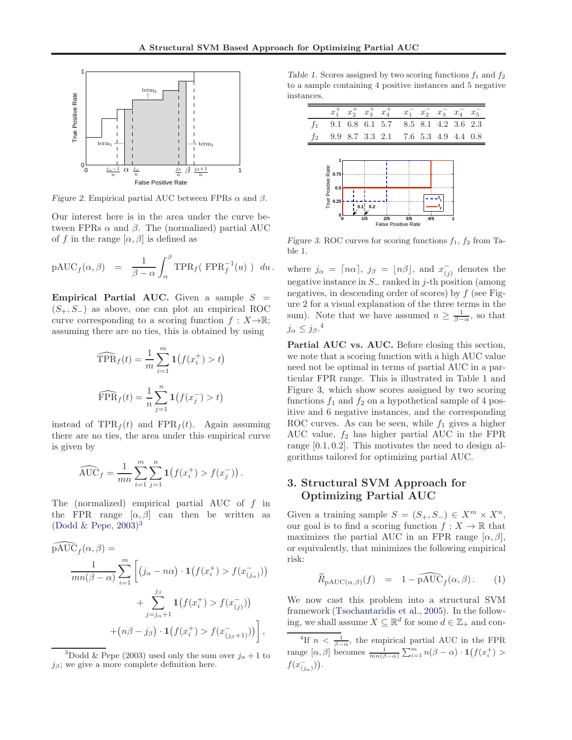<span id="page-2-0"></span>

Figure 2. Empirical partial AUC between FPRs  $\alpha$  and  $\beta$ .

Our interest here is in the area under the curve between FPRs  $\alpha$  and  $\beta$ . The (normalized) partial AUC of f in the range  $[\alpha, \beta]$  is defined as

$$
\mathrm{pAUC}_f(\alpha,\beta) = \frac{1}{\beta-\alpha} \int_{\alpha}^{\beta} \mathrm{TPR}_f(\mathrm{FPR}_f^{-1}(u)) du.
$$

**Empirical Partial AUC.** Given a sample  $S =$  $(S_+, S_-)$  as above, one can plot an empirical ROC curve corresponding to a scoring function  $f : X \rightarrow \mathbb{R}$ ; assuming there are no ties, this is obtained by using

$$
\widehat{\text{TPR}}_f(t) = \frac{1}{m} \sum_{i=1}^m \mathbf{1}(f(x_i^+) > t)
$$

$$
\widehat{\text{FPR}}_f(t) = \frac{1}{n} \sum_{j=1}^n \mathbf{1}(f(x_j^-) > t)
$$

instead of  $TPR_f(t)$  and  $FPR_f(t)$ . Again assuming there are no ties, the area under this empirical curve is given by

$$
\widehat{\text{AUC}}_f = \frac{1}{mn} \sum_{i=1}^m \sum_{j=1}^n \mathbf{1}(f(x_i^+) > f(x_j^-)).
$$

The (normalized) empirical partial AUC of f in the FPR range  $[\alpha, \beta]$  can then be written as [\(Dodd & Pepe,](#page-8-0) [2003\)](#page-8-0) 3

$$
\widehat{\text{pAUC}}_f(\alpha, \beta) = \frac{1}{mn(\beta - \alpha)} \sum_{i=1}^m \left[ (j_{\alpha} - n\alpha) \cdot \mathbf{1}(f(x_i^+) > f(x_{(j_{\alpha})})) + \sum_{j=j_{\alpha}+1}^{j_{\beta}} \mathbf{1}(f(x_i^+) > f(x_{(j)}^-)) + (n\beta - j_{\beta}) \cdot \mathbf{1}(f(x_i^+) > f(x_{(j_{\beta}+1)}^-)) \right],
$$

<sup>3</sup>Dodd & Pepe (2003) used only the sum over  $j_{\alpha}+1$  to  $j_{\beta}$ ; we give a more complete definition here.

Table 1. Scores assigned by two scoring functions  $f_1$  and  $f_2$ to a sample containing 4 positive instances and 5 negative instances.

|                | $\boldsymbol{x}$           | $x_2^+$ $x_3^+$ | $x_4^+$ |                                     |  | $x_1^2$ $x_2^2$ $x_3$ $x_4$ $x_5$ |  |
|----------------|----------------------------|-----------------|---------|-------------------------------------|--|-----------------------------------|--|
| $f_1$          |                            |                 |         | 9.1 6.8 6.1 5.7 8.5 8.1 4.2 3.6 2.3 |  |                                   |  |
| f <sub>2</sub> |                            |                 |         | 9.9 8.7 3.3 2.1 7.6 5.3 4.9 4.4 0.8 |  |                                   |  |
|                |                            |                 |         |                                     |  |                                   |  |
|                |                            |                 |         |                                     |  |                                   |  |
|                | True Positive Rate<br>0.75 |                 |         |                                     |  |                                   |  |
|                | 0.5                        |                 |         |                                     |  |                                   |  |
|                | 0.25                       | 0.1'<br>0.2     |         |                                     |  |                                   |  |
|                |                            |                 |         |                                     |  |                                   |  |

Figure 3. ROC curves for scoring functions  $f_1, f_2$  from Table 1.

**0 1/5 2/5 3/5 4/5 1** False Positive Rate

where  $j_{\alpha} = \lceil n\alpha \rceil$ ,  $j_{\beta} = \lfloor n\beta \rfloor$ , and  $x_{(j)}^-$  denotes the negative instance in S<sup>−</sup> ranked in j-th position (among negatives, in descending order of scores) by  $f$  (see Figure 2 for a visual explanation of the three terms in the sum). Note that we have assumed  $n \geq \frac{1}{\beta - \alpha}$ , so that  $j_{\alpha} \leq j_{\beta}$ .<sup>4</sup>

Partial AUC vs. AUC. Before closing this section, we note that a scoring function with a high AUC value need not be optimal in terms of partial AUC in a particular FPR range. This is illustrated in Table 1 and Figure 3, which show scores assigned by two scoring functions  $f_1$  and  $f_2$  on a hypothetical sample of 4 positive and 6 negative instances, and the corresponding ROC curves. As can be seen, while  $f_1$  gives a higher AUC value,  $f_2$  has higher partial AUC in the FPR range [0.1, 0.2]. This motivates the need to design algorithms tailored for optimizing partial AUC.

# 3. Structural SVM Approach for Optimizing Partial AUC

Given a training sample  $S = (S_+, S_-) \in X^m \times X^n$ , our goal is to find a scoring function  $f: X \to \mathbb{R}$  that maximizes the partial AUC in an FPR range  $[\alpha, \beta]$ , or equivalently, that minimizes the following empirical risk:

$$
\widehat{R}_{\mathrm{pAUC}(\alpha,\beta)}(f) \quad = \quad 1 - \widehat{\mathrm{pAUC}}_f(\alpha,\beta). \tag{1}
$$

We now cast this problem into a structural SVM framework [\(Tsochantaridis et al.,](#page-8-0) [2005](#page-8-0)). In the following, we shall assume  $X \subseteq \mathbb{R}^d$  for some  $d \in \mathbb{Z}_+$  and con-

<sup>4</sup>If  $n < \frac{1}{\beta - \alpha}$ , the empirical partial AUC in the FPR range  $[\alpha, \beta]$  becomes  $\frac{1}{mn(\beta-\alpha)}\sum_{i=1}^m n(\beta-\alpha) \cdot \mathbf{1}(f(x_i^+)$  $f(x_{(j_{\alpha})}^{-}))$ .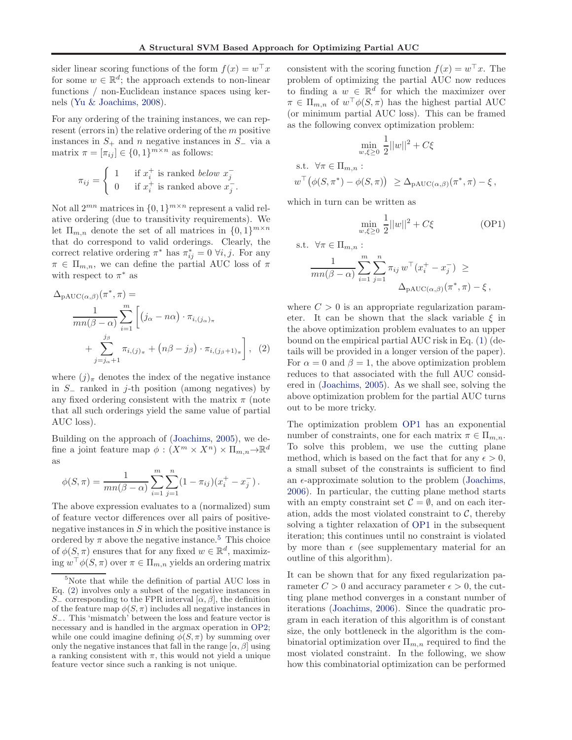<span id="page-3-0"></span>sider linear scoring functions of the form  $f(x) = w^{\top} x$ for some  $w \in \mathbb{R}^d$ ; the approach extends to non-linear functions / non-Euclidean instance spaces using kernels [\(Yu & Joachims,](#page-8-0) [2008\)](#page-8-0).

For any ordering of the training instances, we can represent (errors in) the relative ordering of the m positive instances in  $S_+$  and n negative instances in  $S_-$  via a matrix  $\pi = [\pi_{ij}] \in \{0, 1\}^{m \times n}$  as follows:

$$
\pi_{ij} = \begin{cases} 1 & \text{if } x_i^+ \text{ is ranked below } x_j^- \\ 0 & \text{if } x_i^+ \text{ is ranked above } x_j^- \end{cases}
$$

Not all  $2^{mn}$  matrices in  $\{0,1\}^{m \times n}$  represent a valid relative ordering (due to transitivity requirements). We let  $\Pi_{m,n}$  denote the set of all matrices in  $\{0,1\}^{m \times n}$ that do correspond to valid orderings. Clearly, the correct relative ordering  $\pi^*$  has  $\pi^*_{ij} = 0 \ \forall i, j$ . For any  $\pi \in \Pi_{m,n}$ , we can define the partial AUC loss of  $\pi$ with respect to  $\pi^*$  as

$$
\Delta_{\text{PAUC}(\alpha,\beta)}(\pi^*, \pi) = \frac{1}{mn(\beta - \alpha)} \sum_{i=1}^m \left[ (j_{\alpha} - n\alpha) \cdot \pi_{i,(j_{\alpha})_{\pi}} + \sum_{j=j_{\alpha}+1}^{j_{\beta}} \pi_{i,(j)_{\pi}} + (n\beta - j_{\beta}) \cdot \pi_{i,(j_{\beta}+1)_{\pi}} \right], (2)
$$

where  $(j)_{\pi}$  denotes the index of the negative instance in S<sup>−</sup> ranked in j-th position (among negatives) by any fixed ordering consistent with the matrix  $\pi$  (note that all such orderings yield the same value of partial AUC loss).

Building on the approach of [\(Joachims](#page-8-0), [2005\)](#page-8-0), we define a joint feature map  $\phi: (X^m \times X^n) \times \Pi_{m,n} \to \mathbb{R}^d$ as

$$
\phi(S,\pi) = \frac{1}{mn(\beta-\alpha)} \sum_{i=1}^{m} \sum_{j=1}^{n} (1-\pi_{ij})(x_i^+ - x_j^-).
$$

The above expression evaluates to a (normalized) sum of feature vector differences over all pairs of positivenegative instances in  $S$  in which the positive instance is ordered by  $\pi$  above the negative instance.<sup>5</sup> This choice of  $\phi(S,\pi)$  ensures that for any fixed  $w \in \mathbb{R}^d$ , maximiz- $\text{ing } w^\top \phi(S, \pi) \text{ over } \pi \in \Pi_{m,n} \text{ yields an ordering matrix}$ 

consistent with the scoring function  $f(x) = w^{\top}x$ . The problem of optimizing the partial AUC now reduces to finding a  $w \in \mathbb{R}^d$  for which the maximizer over  $\pi \in \Pi_{m,n}$  of  $w^{\top}\phi(S,\pi)$  has the highest partial AUC (or minimum partial AUC loss). This can be framed as the following convex optimization problem:

$$
\min_{w,\xi \ge 0} \frac{1}{2} ||w||^2 + C\xi
$$

s.t. 
$$
\forall \pi \in \Pi_{m,n}
$$
:  
\n $w^{\top}(\phi(S, \pi^*) - \phi(S, \pi)) \geq \Delta_{\text{PAUC}(\alpha, \beta)}(\pi^*, \pi) - \xi,$ 

which in turn can be written as

$$
\min_{w,\xi \ge 0} \frac{1}{2} ||w||^2 + C\xi \tag{OP1}
$$

s.t. 
$$
\forall \pi \in \Pi_{m,n}
$$
:  
\n
$$
\frac{1}{mn(\beta - \alpha)} \sum_{i=1}^{m} \sum_{j=1}^{n} \pi_{ij} w^{\top} (x_i^+ - x_j^-) \ge
$$
\n
$$
\Delta_{\text{PAUC}(\alpha,\beta)}(\pi^*, \pi) - \xi,
$$

where  $C > 0$  is an appropriate regularization parameter. It can be shown that the slack variable  $\xi$  in the above optimization problem evaluates to an upper bound on the empirical partial AUC risk in Eq. [\(1\)](#page-2-0) (details will be provided in a longer version of the paper). For  $\alpha = 0$  and  $\beta = 1$ , the above optimization problem reduces to that associated with the full AUC considered in [\(Joachims,](#page-8-0) [2005\)](#page-8-0). As we shall see, solving the above optimization problem for the partial AUC turns out to be more tricky.

The optimization problem OP1 has an exponential number of constraints, one for each matrix  $\pi \in \Pi_{m,n}$ . To solve this problem, we use the cutting plane method, which is based on the fact that for any  $\epsilon > 0$ , a small subset of the constraints is sufficient to find an  $\epsilon$ -approximate solution to the problem [\(Joachims,](#page-8-0) [2006\)](#page-8-0). In particular, the cutting plane method starts with an empty constraint set  $\mathcal{C} = \emptyset$ , and on each iteration, adds the most violated constraint to  $C$ , thereby solving a tighter relaxation of OP1 in the subsequent iteration; this continues until no constraint is violated by more than  $\epsilon$  (see supplementary material for an outline of this algorithm).

It can be shown that for any fixed regularization parameter  $C > 0$  and accuracy parameter  $\epsilon > 0$ , the cutting plane method converges in a constant number of iterations [\(Joachims,](#page-8-0) [2006\)](#page-8-0). Since the quadratic program in each iteration of this algorithm is of constant size, the only bottleneck in the algorithm is the combinatorial optimization over  $\Pi_{m,n}$  required to find the most violated constraint. In the following, we show how this combinatorial optimization can be performed

<sup>5</sup>Note that while the definition of partial AUC loss in Eq. (2) involves only a subset of the negative instances in S<sub>-</sub> corresponding to the FPR interval  $[\alpha, \beta]$ , the definition of the feature map  $\phi(S, \pi)$  includes all negative instances in S−. This 'mismatch' between the loss and feature vector is necessary and is handled in the argmax operation in [OP2;](#page-4-0) while one could imagine defining  $\phi(S,\pi)$  by summing over only the negative instances that fall in the range  $[\alpha, \beta]$  using a ranking consistent with  $\pi$ , this would not yield a unique feature vector since such a ranking is not unique.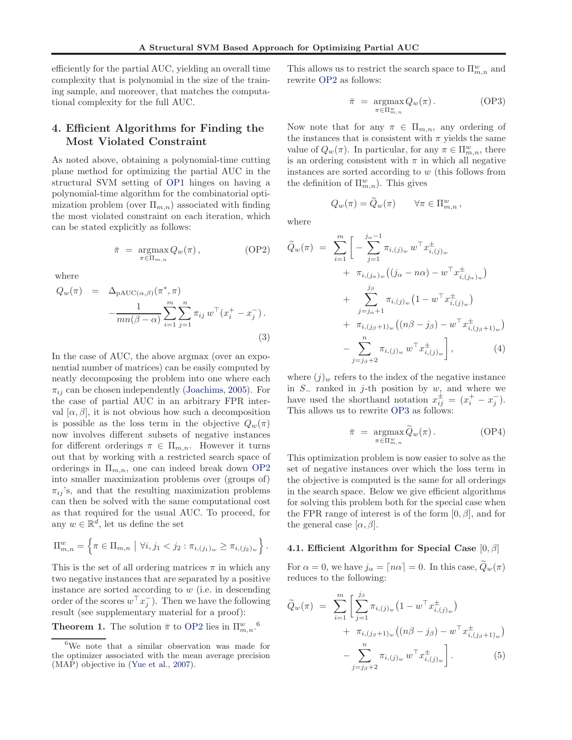<span id="page-4-0"></span>efficiently for the partial AUC, yielding an overall time complexity that is polynomial in the size of the training sample, and moreover, that matches the computational complexity for the full AUC.

## 4. Efficient Algorithms for Finding the Most Violated Constraint

As noted above, obtaining a polynomial-time cutting plane method for optimizing the partial AUC in the structural SVM setting of [OP1](#page-3-0) hinges on having a polynomial-time algorithm for the combinatorial optimization problem (over  $\Pi_{m,n}$ ) associated with finding the most violated constraint on each iteration, which can be stated explicitly as follows:

$$
\bar{\pi} = \underset{\pi \in \Pi_{m,n}}{\operatorname{argmax}} Q_w(\pi), \qquad (OP2)
$$

where

$$
Q_w(\pi) = \Delta_{\text{PAUC}(\alpha,\beta)}(\pi^*, \pi)
$$

$$
-\frac{1}{mn(\beta-\alpha)}\sum_{i=1}^m \sum_{j=1}^n \pi_{ij} w^\top (x_i^+ - x_j^-).
$$
(3)

In the case of AUC, the above argmax (over an exponential number of matrices) can be easily computed by neatly decomposing the problem into one where each  $\pi_{ij}$  can be chosen independently [\(Joachims,](#page-8-0) [2005](#page-8-0)). For the case of partial AUC in an arbitrary FPR interval  $[\alpha, \beta]$ , it is not obvious how such a decomposition is possible as the loss term in the objective  $Q_w(\pi)$ now involves different subsets of negative instances for different orderings  $\pi \in \Pi_{m,n}$ . However it turns out that by working with a restricted search space of orderings in  $\Pi_{m,n}$ , one can indeed break down OP2 into smaller maximization problems over (groups of)  $\pi_{ij}$ 's, and that the resulting maximization problems can then be solved with the same computational cost as that required for the usual AUC. To proceed, for any  $w \in \mathbb{R}^d$ , let us define the set

$$
\Pi_{m,n}^w = \left\{ \pi \in \Pi_{m,n} \mid \forall i, j_1 < j_2 : \pi_{i,(j_1)_w} \geq \pi_{i,(j_2)_w} \right\}.
$$

This is the set of all ordering matrices  $\pi$  in which any two negative instances that are separated by a positive instance are sorted according to  $w$  (i.e. in descending order of the scores  $w^{\top} x_j^{-}$ ). Then we have the following result (see supplementary material for a proof):

**Theorem 1.** The solution  $\bar{\pi}$  to OP2 lies in  $\Pi_{m,n}^w$ .<sup>6</sup>

This allows us to restrict the search space to  $\Pi^w_{m,n}$  and rewrite OP2 as follows:

$$
\bar{\pi} = \underset{\pi \in \Pi_{m,n}^w}{\operatorname{argmax}} Q_w(\pi). \tag{OP3}
$$

Now note that for any  $\pi \in \Pi_{m,n}$ , any ordering of the instances that is consistent with  $\pi$  yields the same value of  $Q_w(\pi)$ . In particular, for any  $\pi \in \Pi_{m,n}^w$ , there is an ordering consistent with  $\pi$  in which all negative instances are sorted according to w (this follows from the definition of  $\Pi^w_{m,n}$ ). This gives

 $Q_w(\pi) = \widetilde{Q}_w(\pi) \quad \forall \pi \in \Pi_{m,n}^w,$ where

$$
\widetilde{Q}_{w}(\pi) = \sum_{i=1}^{m} \left[ -\sum_{j=1}^{j_{\alpha}-1} \pi_{i,(j)_{w}} w^{\top} x_{i,(j)_{w}}^{\pm} + \pi_{i,(j_{\alpha})_{w}} ((j_{\alpha} - n\alpha) - w^{\top} x_{i,(j_{\alpha})_{w}}^{\pm}) + \sum_{j=j_{\alpha}+1}^{j_{\beta}} \pi_{i,(j)_{w}} (1 - w^{\top} x_{i,(j)_{w}}^{\pm}) + \pi_{i,(j_{\beta}+1)_{w}} ((n\beta - j_{\beta}) - w^{\top} x_{i,(j_{\beta}+1)_{w}}^{\pm}) - \sum_{j=j_{\beta}+2}^{n} \pi_{i,(j)_{w}} w^{\top} x_{i,(j)_{w}}^{\pm} \right], \tag{4}
$$

where  $(j)_w$  refers to the index of the negative instance in  $S_$  ranked in j-th position by w, and where we have used the shorthand notation  $x_{ij}^{\pm} = (x_i^+ - x_j^-)$ . This allows us to rewrite OP3 as follows:

$$
\bar{\pi} = \underset{\pi \in \Pi_{m,n}^w}{\operatorname{argmax}} \tilde{Q}_w(\pi). \tag{OP4}
$$

This optimization problem is now easier to solve as the set of negative instances over which the loss term in the objective is computed is the same for all orderings in the search space. Below we give efficient algorithms for solving this problem both for the special case when the FPR range of interest is of the form  $[0, \beta]$ , and for the general case  $[\alpha, \beta]$ .

#### 4.1. Efficient Algorithm for Special Case  $[0, \beta]$

For  $\alpha = 0$ , we have  $j_{\alpha} = \lceil n\alpha \rceil = 0$ . In this case,  $Q_w(\pi)$ reduces to the following:

$$
\widetilde{Q}_{w}(\pi) = \sum_{i=1}^{m} \left[ \sum_{j=1}^{j_{\beta}} \pi_{i,(j)_{w}} \left( 1 - w^{\top} x_{i,(j)_{w}}^{\pm} \right) + \pi_{i,(j_{\beta}+1)_{w}} \left( (n\beta - j_{\beta}) - w^{\top} x_{i,(j_{\beta}+1)_{w}}^{\pm} \right) - \sum_{j=j_{\beta}+2}^{n} \pi_{i,(j)_{w}} w^{\top} x_{i,(j)_{w}}^{\pm} \right]. \tag{5}
$$

<sup>6</sup>We note that a similar observation was made for the optimizer associated with the mean average precision (MAP) objective in [\(Yue et al.,](#page-8-0) [2007\)](#page-8-0).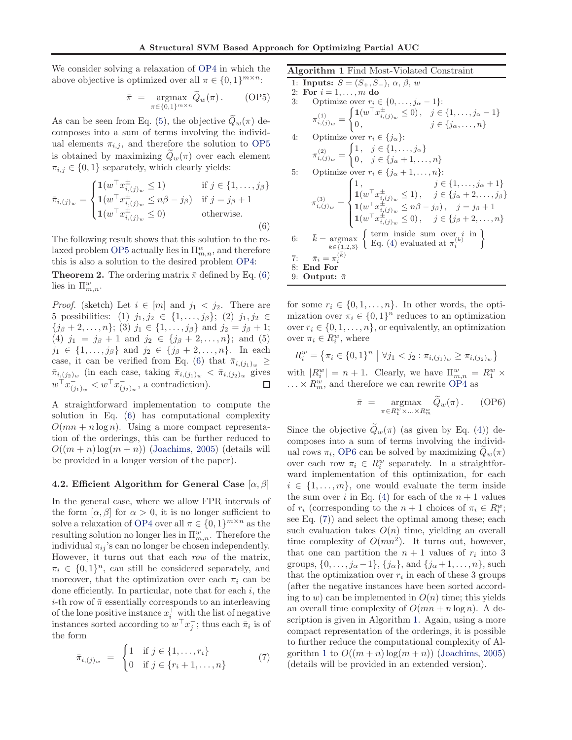We consider solving a relaxation of [OP4](#page-4-0) in which the above objective is optimized over all  $\pi \in \{0,1\}^{m \times n}$ :

$$
\bar{\pi} = \underset{\pi \in \{0,1\}^{m \times n}}{\operatorname{argmax}} \widetilde{Q}_w(\pi). \quad \text{(OP5)}
$$

As can be seen from Eq. [\(5\)](#page-4-0), the objective  $Q_w(\pi)$  decomposes into a sum of terms involving the individual elements  $\pi_{i,j}$ , and therefore the solution to [OP5](#page-4-0) is obtained by maximizing  $Q_w(\pi)$  over each element  $\pi_{i,j} \in \{0,1\}$  separately, which clearly yields:

$$
\bar{\pi}_{i,(j)_w} = \begin{cases}\n1(w^\top x_{i,(j)_w}^{\pm} \le 1) & \text{if } j \in \{1, \ldots, j_\beta\} \\
1(w^\top x_{i,(j)_w}^{\pm} \le n\beta - j_\beta) & \text{if } j = j_\beta + 1 \\
1(w^\top x_{i,(j)_w}^{\pm} \le 0) & \text{otherwise.} \n\end{cases}
$$
\n(6)

The following result shows that this solution to the re-laxed problem [OP5](#page-4-0) actually lies in  $\Pi^w_{m,n}$ , and therefore this is also a solution to the desired problem [OP4:](#page-4-0)

**Theorem 2.** The ordering matrix  $\bar{\pi}$  defined by Eq. (6) lies in  $\Pi^w_{m,n}$ .

*Proof.* (sketch) Let  $i \in [m]$  and  $j_1 < j_2$ . There are 5 possibilities: (1)  $j_1, j_2 \in \{1, \ldots, j_\beta\};$  (2)  $j_1, j_2 \in$  $\{j_\beta+2,\ldots,n\};$  (3)  $j_1 \in \{1,\ldots,j_\beta\}$  and  $j_2 = j_\beta+1;$ (4)  $j_1 = j_\beta + 1$  and  $j_2 \in \{j_\beta + 2, ..., n\}$ ; and (5)  $j_1 \in \{1, \ldots, j_\beta\}$  and  $j_2 \in \{j_\beta + 2, \ldots, n\}$ . In each case, it can be verified from Eq. (6) that  $\bar{\pi}_{i,(j_1)_w} \geq$  $\bar{\pi}_{i,(j_2)_w}$  (in each case, taking  $\bar{\pi}_{i,(j_1)_w} < \bar{\pi}_{i,(j_2)_w}$  gives  $w^{\top} x_{(j_1)_w}^{\top} < w^{\top} x_{(j_2)_w}^{\top}$ , a contradiction).

A straightforward implementation to compute the solution in Eq. (6) has computational complexity  $O(mn + n \log n)$ . Using a more compact representation of the orderings, this can be further reduced to  $O((m+n)\log(m+n))$  [\(Joachims,](#page-8-0) [2005\)](#page-8-0) (details will be provided in a longer version of the paper).

#### 4.2. Efficient Algorithm for General Case  $[\alpha, \beta]$

In the general case, where we allow FPR intervals of the form  $[\alpha, \beta]$  for  $\alpha > 0$ , it is no longer sufficient to solve a relaxation of [OP4](#page-4-0) over all  $\pi \in \{0,1\}^{m \times n}$  as the resulting solution no longer lies in  $\Pi^w_{m,n}$ . Therefore the individual  $\pi_{ij}$ 's can no longer be chosen independently. However, it turns out that each row of the matrix,  $\pi_i \in \{0,1\}^n$ , can still be considered separately, and moreover, that the optimization over each  $\pi_i$  can be done efficiently. In particular, note that for each  $i$ , the *i*-th row of  $\bar{\pi}$  essentially corresponds to an interleaving of the lone positive instance  $x_i^+$  with the list of negative instances sorted according to  $w^{\top} x_j^-$ ; thus each  $\bar{\pi}_i$  is of the form

$$
\bar{\pi}_{i,(j)_w} = \begin{cases} 1 & \text{if } j \in \{1, \dots, r_i\} \\ 0 & \text{if } j \in \{r_i + 1, \dots, n\} \end{cases}
$$
 (7)

Algorithm 1 Find Most-Violated Constraint

1: Inputs:  $S = (S_+, S_-), \alpha, \beta, w$ 2: For  $i = 1, ..., m$  do 3: Optimize over  $r_i \in \{0, \ldots, j_\alpha - 1\}$ :  $\pi^{(1)}_{i,(j)_w} =$  $\int 1(w^{\top} x_{i,(j)_w}^{\pm} \leq 0), \quad j \in \{1, \ldots, j_\alpha - 1\}$ 0,  $j \in \{j_{\alpha}, \ldots, n\}$ 4: Optimize over  $r_i \in \{j_\alpha\}$ :  $\pi^{(2)}_{i,(j)_w} =$  $\left\{1, j \in \{1, \ldots, j_{\alpha}\}\right\}$ 0,  $j \in \{j_{\alpha}+1,\ldots,n\}$ 5: Optimize over  $r_i \in \{j_\alpha+1,\ldots,n\}$ :  $\pi^{(3)}_{i,(j)_w} =$  $\sqrt{ }$  $\int$  $\overline{\mathcal{L}}$ 1,  $j \in \{1, ..., j_{\alpha} + 1\}$  $1(w^{\top} x_{i,(j)_w}^{\pm} \le 1), \quad j \in \{j_\alpha + 2,\ldots, j_\beta\}$  $\mathbf{1}(w^\top x_{i,(j)_w}^\pm \leq n\beta - j_\beta), \quad j = j_\beta + 1$  $1(w^{\top} x_{i,(j)_w}^{\pm} \leq 0), \quad j \in \{j_\beta + 2,\ldots, n\}$ 6:  $\bar{k} = \underset{k \in \{1,2,3\}}{\text{argmax}}$ f term inside sum over  $i$  in Eq. [\(4\)](#page-4-0) evaluated at  $\pi_i^{(k)}$  $\mathcal{L}$ 7:  $\bar{\pi}_i = \pi_i^{(\bar{k})}$ 8: End For 9: Output:  $\bar{\pi}$ 

for some  $r_i \in \{0, 1, \ldots, n\}$ . In other words, the optimization over  $\pi_i \in \{0,1\}^n$  reduces to an optimization over  $r_i \in \{0, 1, \ldots, n\}$ , or equivalently, an optimization over  $\pi_i \in R_i^w$ , where

$$
R_i^w = \{ \pi_i \in \{0, 1\}^n \mid \forall j_1 < j_2 : \pi_{i, (j_1)_w} \ge \pi_{i, (j_2)_w} \}
$$

with  $|R_i^w| = n + 1$ . Clearly, we have  $\Pi_{m,n}^w = R_1^w \times$  $\ldots \times R_m^w$ , and therefore we can rewrite [OP4](#page-4-0) as

$$
\bar{\pi} = \operatorname*{argmax}_{\pi \in R_1^w \times ... \times R_m^w} \tilde{Q}_w(\pi). \qquad \text{(OP6)}
$$

Since the objective  $Q_w(\pi)$  (as given by Eq. [\(4\)](#page-4-0)) decomposes into a sum of terms involving the individual rows  $\pi_i$ , OP6 can be solved by maximizing  $Q_w(\pi)$ over each row  $\pi_i \in R_i^w$  separately. In a straightforward implementation of this optimization, for each  $i \in \{1, \ldots, m\}$ , one would evaluate the term inside the sum over i in Eq. [\(4\)](#page-4-0) for each of the  $n+1$  values of  $r_i$  (corresponding to the  $n + 1$  choices of  $\pi_i \in R_i^w$ ; see Eq. (7)) and select the optimal among these; each such evaluation takes  $O(n)$  time, yielding an overall time complexity of  $O(mn^2)$ . It turns out, however, that one can partition the  $n+1$  values of  $r_i$  into 3 groups,  $\{0, ..., j_{\alpha} - 1\}$ ,  $\{j_{\alpha}\}$ , and  $\{j_{\alpha} + 1, ..., n\}$ , such that the optimization over  $r_i$  in each of these 3 groups (after the negative instances have been sorted according to w) can be implemented in  $O(n)$  time; this yields an overall time complexity of  $O(mn + n \log n)$ . A description is given in Algorithm 1. Again, using a more compact representation of the orderings, it is possible to further reduce the computational complexity of Algorithm 1 to  $O((m+n) \log(m+n))$  [\(Joachims,](#page-8-0) [2005\)](#page-8-0) (details will be provided in an extended version).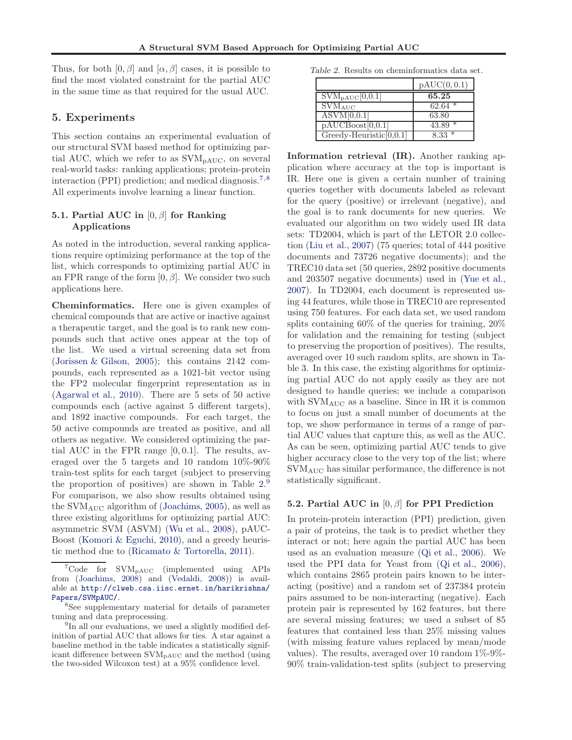<span id="page-6-0"></span>Thus, for both  $[0, \beta]$  and  $[\alpha, \beta]$  cases, it is possible to find the most violated constraint for the partial AUC in the same time as that required for the usual AUC.

#### 5. Experiments

This section contains an experimental evaluation of our structural SVM based method for optimizing partial AUC, which we refer to as  $\text{SVM}_{\text{PAUC}}$ , on several real-world tasks: ranking applications; protein-protein interaction (PPI) prediction; and medical diagnosis.<sup>7</sup>,<sup>8</sup> All experiments involve learning a linear function.

### 5.1. Partial AUC in  $[0, \beta]$  for Ranking Applications

As noted in the introduction, several ranking applications require optimizing performance at the top of the list, which corresponds to optimizing partial AUC in an FPR range of the form  $[0, \beta]$ . We consider two such applications here.

Cheminformatics. Here one is given examples of chemical compounds that are active or inactive against a therapeutic target, and the goal is to rank new compounds such that active ones appear at the top of the list. We used a virtual screening data set from [\(Jorissen & Gilson](#page-8-0), [2005\)](#page-8-0); this contains 2142 compounds, each represented as a 1021-bit vector using the FP2 molecular fingerprint representation as in [\(Agarwal et al.,](#page-8-0) [2010\)](#page-8-0). There are 5 sets of 50 active compounds each (active against 5 different targets), and 1892 inactive compounds. For each target, the 50 active compounds are treated as positive, and all others as negative. We considered optimizing the partial AUC in the FPR range [0, 0.1]. The results, averaged over the 5 targets and 10 random 10%-90% train-test splits for each target (subject to preserving the proportion of positives) are shown in Table 2. 9 For comparison, we also show results obtained using the  $\text{SVM}_{\text{AUC}}$  algorithm of [\(Joachims](#page-8-0), [2005\)](#page-8-0), as well as three existing algorithms for optimizing partial AUC: asymmetric SVM (ASVM) [\(Wu et al.](#page-8-0), [2008\)](#page-8-0), pAUC-Boost [\(Komori & Eguchi,](#page-8-0) [2010\)](#page-8-0), and a greedy heuristic method due to [\(Ricamato & Tortorella](#page-8-0), [2011\)](#page-8-0).

Table 2. Results on cheminformatics data set.

|                                   | pAUC(0, 0.1) |
|-----------------------------------|--------------|
| $\text{SVM}_{\text{PAUC}}[0,0.1]$ | 65.25        |
| $\text{SVM}_{\text{AUC}}$         | $62.64*$     |
| $\text{ASVM}[0,0.1]$              | 63.80        |
| pAUCBoost[0,0.1]                  | $43.89*$     |
| $Greedy-Heuristic[0,0.1]$         | $8.33*$      |

Information retrieval (IR). Another ranking application where accuracy at the top is important is IR. Here one is given a certain number of training queries together with documents labeled as relevant for the query (positive) or irrelevant (negative), and the goal is to rank documents for new queries. We evaluated our algorithm on two widely used IR data sets: TD2004, which is part of the LETOR 2.0 collection [\(Liu et al.](#page-8-0), [2007\)](#page-8-0) (75 queries; total of 444 positive documents and 73726 negative documents); and the TREC10 data set (50 queries, 2892 positive documents and 203507 negative documents) used in [\(Yue et al.,](#page-8-0) [2007\)](#page-8-0). In TD2004, each document is represented using 44 features, while those in TREC10 are represented using 750 features. For each data set, we used random splits containing 60% of the queries for training, 20% for validation and the remaining for testing (subject to preserving the proportion of positives). The results, averaged over 10 such random splits, are shown in Table [3.](#page-7-0) In this case, the existing algorithms for optimizing partial AUC do not apply easily as they are not designed to handle queries; we include a comparison with SVMAUC as a baseline. Since in IR it is common to focus on just a small number of documents at the top, we show performance in terms of a range of partial AUC values that capture this, as well as the AUC. As can be seen, optimizing partial AUC tends to give higher accuracy close to the very top of the list; where SVMAUC has similar performance, the difference is not statistically significant.

### 5.2. Partial AUC in  $[0, \beta]$  for PPI Prediction

In protein-protein interaction (PPI) prediction, given a pair of proteins, the task is to predict whether they interact or not; here again the partial AUC has been used as an evaluation measure [\(Qi et al.](#page-8-0), [2006\)](#page-8-0). We used the PPI data for Yeast from [\(Qi et al.](#page-8-0), [2006\)](#page-8-0), which contains 2865 protein pairs known to be interacting (positive) and a random set of 237384 protein pairs assumed to be non-interacting (negative). Each protein pair is represented by 162 features, but there are several missing features; we used a subset of 85 features that contained less than 25% missing values (with missing feature values replaced by mean/mode values). The results, averaged over 10 random 1%-9%- 90% train-validation-test splits (subject to preserving

 ${}^{7}$ Code for SVM<sub>pAUC</sub> (implemented using APIs from [\(Joachims](#page-8-0), [2008](#page-8-0)) and [\(Vedaldi,](#page-8-0) [2008](#page-8-0))) is available at [http://clweb.csa.iisc.ernet.in/harikrishna/](http://clweb.csa.iisc.ernet.in/harikrishna/Papers/SVMpAUC/) [Papers/SVMpAUC/](http://clweb.csa.iisc.ernet.in/harikrishna/Papers/SVMpAUC/).

<sup>8</sup> See supplementary material for details of parameter tuning and data preprocessing.

<sup>&</sup>lt;sup>9</sup>In all our evaluations, we used a slightly modified definition of partial AUC that allows for ties. A star against a baseline method in the table indicates a statistically significant difference between SVMpAUC and the method (using the two-sided Wilcoxon test) at a 95% confidence level.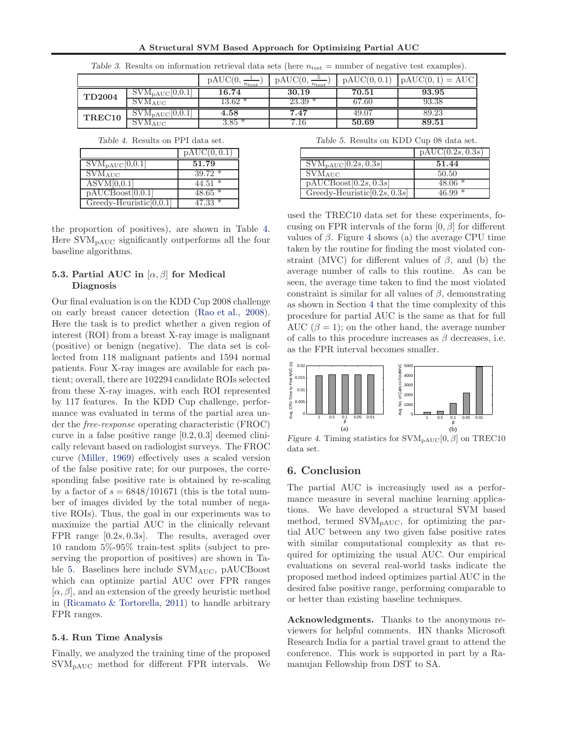A Structural SVM Based Approach for Optimizing Partial AUC

<span id="page-7-0"></span>

|                    |                                                  | pAUC(0,<br>$n_{\text{test}}$ | $\text{pAUC}(0,$<br>$n_{\rm test}$ | $\text{pAUC}(0, 0.1)$ | $\mathrm{pAUC}(0,1) = \mathrm{AUC}$ |
|--------------------|--------------------------------------------------|------------------------------|------------------------------------|-----------------------|-------------------------------------|
| <b>TD2004</b>      | $\overline{\mathrm{SVM}_{\mathrm{pAUC}}[0,0.1]}$ | 16.74                        | 30.19                              | 70.51                 | 93.95                               |
|                    | <b>SVMAUC</b>                                    | $13.62*$                     | 23.39                              | 67.60                 | 93.38                               |
| TREC <sub>10</sub> | $SVM_{\text{pAUC}}[0,0.1]$                       | $4.58\,$                     | 7.47                               | 49.07                 | 89.23                               |
|                    | $\blacksquare$ SVM <sub>AUC</sub>                | $3.85~^*$                    | 7.16                               | 50.69                 | 89.51                               |

Table 3. Results on information retrieval data sets (here  $n_{\text{test}} =$  number of negative test examples).

Table 4. Results on PPI data set.

|                                 | $\text{pAUC}(0,0.1)$ |
|---------------------------------|----------------------|
| $SVM_{\text{pAUC}}[0,0.1]$      | 51.79                |
| $\text{SVM}_{\text{AUC}}$       | $39.72*$             |
| $\overline{\text{ASVM}[0,0.1]}$ | $44.51*$             |
| pAUCBoost[0,0.1]                | $48.65*$             |
| $Greedy-Heuristic[0,0.1]$       | $47.33*$             |

the proportion of positives), are shown in Table 4. Here  $\text{SVM}_{\text{pAUC}}$  significantly outperforms all the four baseline algorithms.

### 5.3. Partial AUC in  $[\alpha, \beta]$  for Medical Diagnosis

Our final evaluation is on the KDD Cup 2008 challenge on early breast cancer detection [\(Rao et al.,](#page-8-0) [2008\)](#page-8-0). Here the task is to predict whether a given region of interest (ROI) from a breast X-ray image is malignant (positive) or benign (negative). The data set is collected from 118 malignant patients and 1594 normal patients. Four X-ray images are available for each patient; overall, there are 102294 candidate ROIs selected from these X-ray images, with each ROI represented by 117 features. In the KDD Cup challenge, performance was evaluated in terms of the partial area under the free-response operating characteristic (FROC) curve in a false positive range [0.2, 0.3] deemed clinically relevant based on radiologist surveys. The FROC curve [\(Miller,](#page-8-0) [1969](#page-8-0)) effectively uses a scaled version of the false positive rate; for our purposes, the corresponding false positive rate is obtained by re-scaling by a factor of  $s = 6848/101671$  (this is the total number of images divided by the total number of negative ROIs). Thus, the goal in our experiments was to maximize the partial AUC in the clinically relevant FPR range [0.2s, 0.3s]. The results, averaged over 10 random 5%-95% train-test splits (subject to preserving the proportion of positives) are shown in Table 5. Baselines here include SVM<sub>AUC</sub>, pAUCBoost which can optimize partial AUC over FPR ranges  $[\alpha, \beta]$ , and an extension of the greedy heuristic method in [\(Ricamato & Tortorella,](#page-8-0) [2011](#page-8-0)) to handle arbitrary FPR ranges.

#### 5.4. Run Time Analysis

Finally, we analyzed the training time of the proposed  $\text{SVM}_{\text{PAUC}}$  method for different FPR intervals. We Table 5. Results on KDD Cup 08 data set.

|                                 | pAUC(0.2s, 0.3s) |
|---------------------------------|------------------|
| $SWM_{\text{PAUC}}[0.2s, 0.3s]$ | 51.44            |
| $\text{SVM}_{\text{AUC}}$       | 50.50            |
| pAUCBoost[0.2s, 0.3s]           | $48.06*$         |
| Greedy-Heuristic [0.2s, 0.3s]   | 46.99            |

used the TREC10 data set for these experiments, focusing on FPR intervals of the form  $[0, \beta]$  for different values of  $\beta$ . Figure 4 shows (a) the average CPU time taken by the routine for finding the most violated constraint (MVC) for different values of  $\beta$ , and (b) the average number of calls to this routine. As can be seen, the average time taken to find the most violated constraint is similar for all values of  $\beta$ , demonstrating as shown in Section [4](#page-4-0) that the time complexity of this procedure for partial AUC is the same as that for full AUC  $(\beta = 1)$ ; on the other hand, the average number of calls to this procedure increases as  $\beta$  decreases, i.e. as the FPR interval becomes smaller.



Figure 4. Timing statistics for  $\text{SVM}_{\text{pAUC}}[0, \beta]$  on TREC10 data set.

# 6. Conclusion

The partial AUC is increasingly used as a performance measure in several machine learning applications. We have developed a structural SVM based method, termed SVMpAUC, for optimizing the partial AUC between any two given false positive rates with similar computational complexity as that required for optimizing the usual AUC. Our empirical evaluations on several real-world tasks indicate the proposed method indeed optimizes partial AUC in the desired false positive range, performing comparable to or better than existing baseline techniques.

Acknowledgments. Thanks to the anonymous reviewers for helpful comments. HN thanks Microsoft Research India for a partial travel grant to attend the conference. This work is supported in part by a Ramanujan Fellowship from DST to SA.